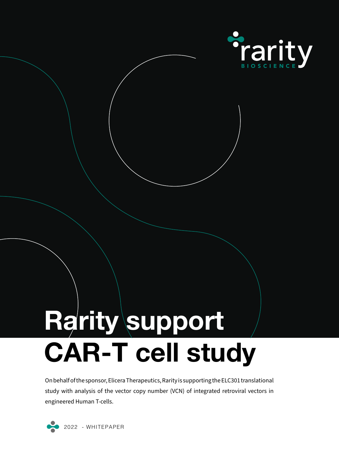

# **Rarity support CAR-T cell study**

On behalf of the sponsor, Elicera Therapeutics, Rarity is supporting the ELC301 translational study with analysis of the vector copy number (VCN) of integrated retroviral vectors in engineered Human T-cells.



2022 - WHITEPAPER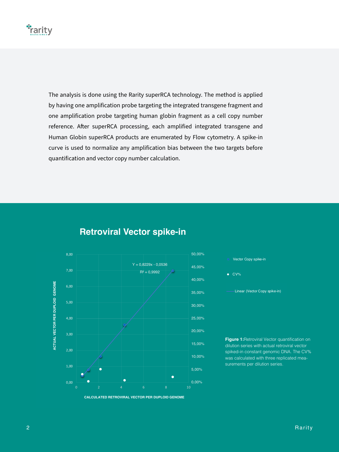#### **\*rarity**

reference. After superRCA processing, each amplified integrated transgene and **ACTUAL**<br>ACTUAL **Retroviral Vector spike-in**  Y = 0,8229x - 0,0536 quantification and vector copy number calculation. a by Flow cytometry A spike-in Human Globin superRCA products are enumerated by Flow cytometry. A spike-in **LC**<br>
<br> **Retroviral Vector spike-in**  one amplification probe targeting human globin fragment as a cell copy number The analysis is done using the Rarity superRCA technology. The method is applied by having one amplification probe targeting the integrated transgene fragment and curve is used to normalize any amplification bias between the two targets before

4,00

3,00

# **Retroviral Vector spike-in ACTUAL VECTOR PER DUPLOID GENOME**





2,00

**Figure 1: Retroviral Vector quantification on** dilution series with actual retroviral vector spiked-in constant genomic DNA. The CV% was calculated with three replicated measurements per dilution series.

25,00%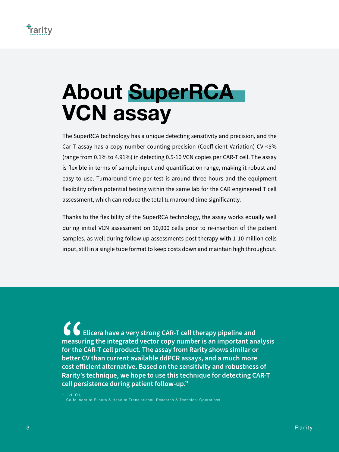

## **About SuperRCA VCN assay**

The SuperRCA technology has a unique detecting sensitivity and precision, and the Car-T assay has a copy number counting precision (Coefficient Variation) CV <5% (range from 0.1% to 4.91%) in detecting 0.5-10 VCN copies per CAR-T cell. The assay is flexible in terms of sample input and quantification range, making it robust and easy to use. Turnaround time per test is around three hours and the equipment flexibility offers potential testing within the same lab for the CAR engineered T cell assessment, which can reduce the total turnaround time significantly.

Thanks to the flexibility of the SuperRCA technology, the assay works equally well during initial VCN assessment on 10,000 cells prior to re-insertion of the patient samples, as well during follow up assessments post therapy with 1-10 million cells input, still in a single tube format to keep costs down and maintain high throughput.

 **Elicera have a very strong CAR-T cell therapy pipeline and measuring the integrated vector copy number is an important analysis for the CAR-T cell product. The assay from Rarity shows similar or better CV** than current available ddPCR assays, and a much more **container and** the CAR-T cell product. The assay from Rarity shows similar or better CV than current available ddPCR assays, and a much more **contact of a s cost efficient alternative. Based on the sensitivity and robustness of Rarity's technique, we hope to use this technique for detecting CAR-T cell persistence during patient follow-up."**

- Di Yu, Co-founder of Elicera & Head of Translational Research & Technical Operations